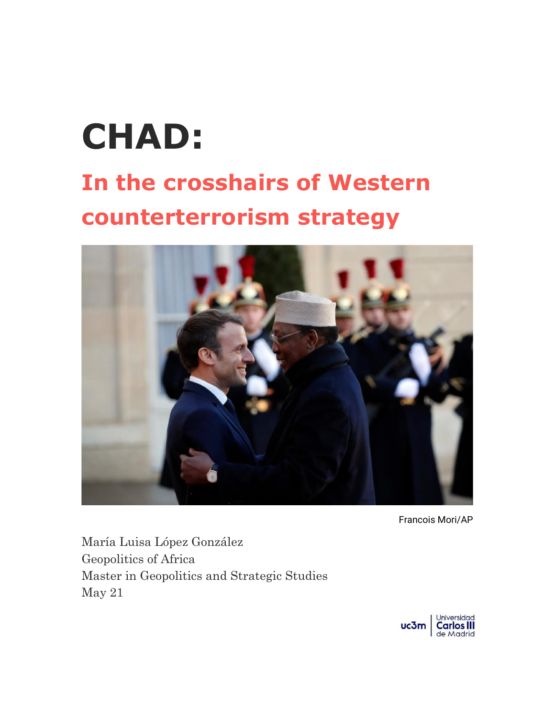# **CHAD:**

## **In the crosshairs of Western counterterrorism strategy**



Francois Mori/AP

María Luisa López González Geopolitics of Africa Master in Geopolitics and Strategic Studies May 21

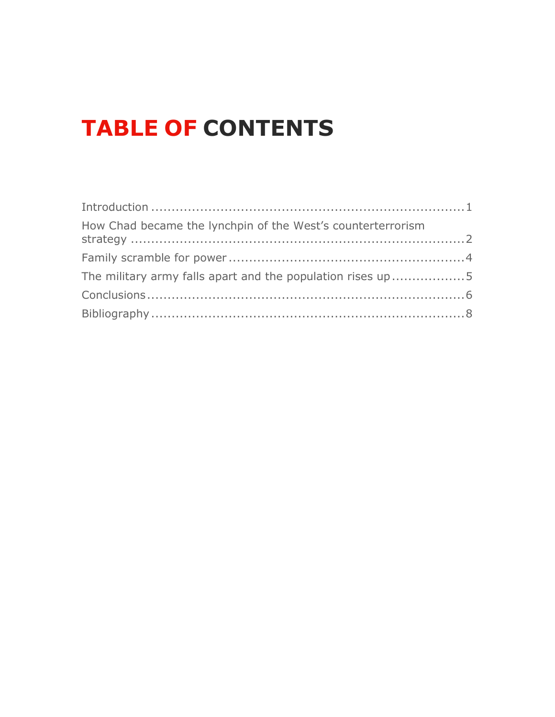### **TABLE OF CONTENTS**

| The military army falls apart and the population rises up5 |  |
|------------------------------------------------------------|--|
|                                                            |  |
|                                                            |  |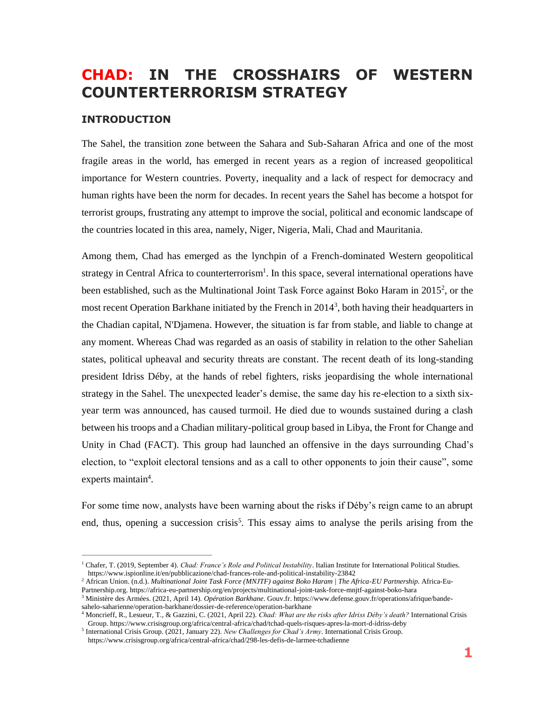### **CHAD: IN THE CROSSHAIRS OF WESTERN COUNTERTERRORISM STRATEGY**

#### <span id="page-2-0"></span>**INTRODUCTION**

The Sahel, the transition zone between the Sahara and Sub-Saharan Africa and one of the most fragile areas in the world, has emerged in recent years as a region of increased geopolitical importance for Western countries. Poverty, inequality and a lack of respect for democracy and human rights have been the norm for decades. In recent years the Sahel has become a hotspot for terrorist groups, frustrating any attempt to improve the social, political and economic landscape of the countries located in this area, namely, Niger, Nigeria, Mali, Chad and Mauritania.

Among them, Chad has emerged as the lynchpin of a French-dominated Western geopolitical strategy in Central Africa to counterterrorism<sup>1</sup>. In this space, several international operations have been established, such as the Multinational Joint Task Force against Boko Haram in 2015<sup>2</sup>, or the most recent Operation Barkhane initiated by the French in 2014<sup>3</sup>, both having their headquarters in the Chadian capital, N'Djamena. However, the situation is far from stable, and liable to change at any moment. Whereas Chad was regarded as an oasis of stability in relation to the other Sahelian states, political upheaval and security threats are constant. The recent death of its long-standing president Idriss Déby, at the hands of rebel fighters, risks jeopardising the whole international strategy in the Sahel. The unexpected leader's demise, the same day his re-election to a sixth sixyear term was announced, has caused turmoil. He died due to wounds sustained during a clash between his troops and a Chadian military-political group based in Libya, the Front for Change and Unity in Chad (FACT). This group had launched an offensive in the days surrounding Chad's election, to "exploit electoral tensions and as a call to other opponents to join their cause", some experts maintain<sup>4</sup>.

For some time now, analysts have been warning about the risks if Déby's reign came to an abrupt end, thus, opening a succession crisis<sup>5</sup>. This essay aims to analyse the perils arising from the

<sup>1</sup> Chafer, T. (2019, September 4). *Chad: France's Role and Political Instability*. Italian Institute for International Political Studies. https://www.ispionline.it/en/pubblicazione/chad-frances-role-and-political-instability-23842

<sup>2</sup> African Union. (n.d.). *Multinational Joint Task Force (MNJTF) against Boko Haram | The Africa-EU Partnership*. Africa-Eu-Partnership.org. https://africa-eu-partnership.org/en/projects/multinational-joint-task-force-mnjtf-against-boko-hara

<sup>3</sup> Ministère des Armées. (2021, April 14). *Opération Barkhane*. Gouv.fr. https://www.defense.gouv.fr/operations/afrique/bandesahelo-saharienne/operation-barkhane/dossier-de-reference/operation-barkhane

<sup>4</sup> Moncrieff, R., Lesueur, T., & Gazzini, C. (2021, April 22). *Chad: What are the risks after Idriss Déby's death?* International Crisis Group. https://www.crisisgroup.org/africa/central-africa/chad/tchad-quels-risques-apres-la-mort-d-idriss-deby

<sup>5</sup> International Crisis Group. (2021, January 22). *New Challenges for Chad's Army*. International Crisis Group. https://www.crisisgroup.org/africa/central-africa/chad/298-les-defis-de-larmee-tchadienne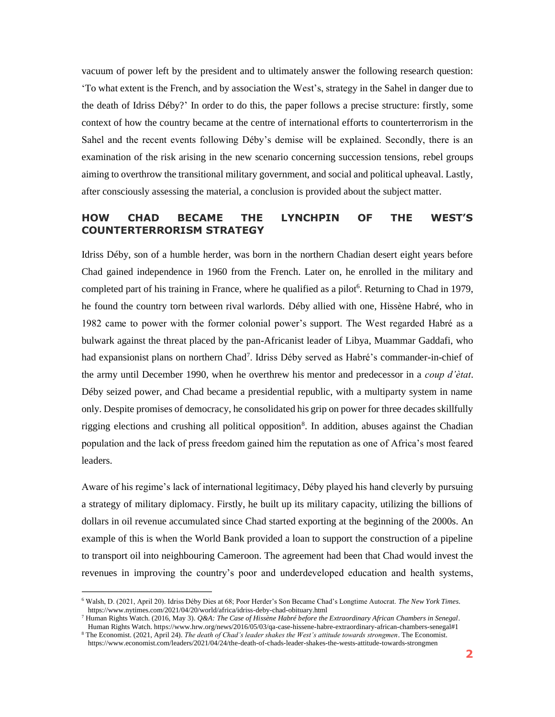vacuum of power left by the president and to ultimately answer the following research question: 'To what extent is the French, and by association the West's, strategy in the Sahel in danger due to the death of Idriss Déby?' In order to do this, the paper follows a precise structure: firstly, some context of how the country became at the centre of international efforts to counterterrorism in the Sahel and the recent events following Déby's demise will be explained. Secondly, there is an examination of the risk arising in the new scenario concerning succession tensions, rebel groups aiming to overthrow the transitional military government, and social and political upheaval. Lastly, after consciously assessing the material, a conclusion is provided about the subject matter.

#### <span id="page-3-0"></span>**HOW CHAD BECAME THE LYNCHPIN OF THE WEST'S COUNTERTERRORISM STRATEGY**

Idriss Déby, son of a humble herder, was born in the northern Chadian desert eight years before Chad gained independence in 1960 from the French. Later on, he enrolled in the military and completed part of his training in France, where he qualified as a pilot<sup>6</sup>. Returning to Chad in 1979, he found the country torn between rival warlords. Déby allied with one, Hissène Habré, who in 1982 came to power with the former colonial power's support. The West regarded Habré as a bulwark against the threat placed by the pan-Africanist leader of Libya, Muammar Gaddafi, who had expansionist plans on northern Chad<sup>7</sup>. Idriss Déby served as Habré's commander-in-chief of the army until December 1990, when he overthrew his mentor and predecessor in a *coup d'ètat*. Déby seized power, and Chad became a presidential republic, with a multiparty system in name only. Despite promises of democracy, he consolidated his grip on power for three decades skillfully rigging elections and crushing all political opposition<sup>8</sup>. In addition, abuses against the Chadian population and the lack of press freedom gained him the reputation as one of Africa's most feared leaders.

Aware of his regime's lack of international legitimacy, Déby played his hand cleverly by pursuing a strategy of military diplomacy. Firstly, he built up its military capacity, utilizing the billions of dollars in oil revenue accumulated since Chad started exporting at the beginning of the 2000s. An example of this is when the World Bank provided a loan to support the construction of a pipeline to transport oil into neighbouring Cameroon. The agreement had been that Chad would invest the revenues in improving the country's poor and underdeveloped education and health systems,

<sup>6</sup> Walsh, D. (2021, April 20). Idriss Déby Dies at 68; Poor Herder's Son Became Chad's Longtime Autocrat. *The New York Times*. https://www.nytimes.com/2021/04/20/world/africa/idriss-deby-chad-obituary.html

<sup>7</sup> Human Rights Watch. (2016, May 3). *Q&A: The Case of Hissène Habré before the Extraordinary African Chambers in Senegal*. Human Rights Watch. https://www.hrw.org/news/2016/05/03/qa-case-hissene-habre-extraordinary-african-chambers-senegal#1 <sup>8</sup> The Economist. (2021, April 24). *The death of Chad's leader shakes the West's attitude towards strongmen*. The Economist.

https://www.economist.com/leaders/2021/04/24/the-death-of-chads-leader-shakes-the-wests-attitude-towards-strongmen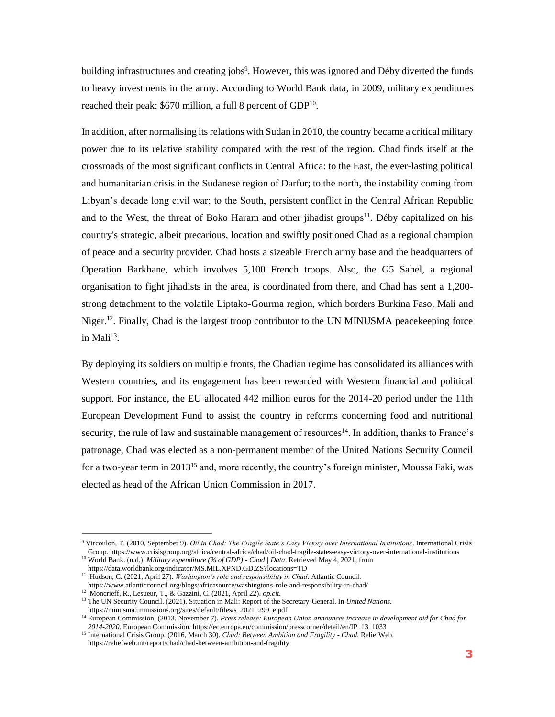building infrastructures and creating jobs<sup>9</sup>. However, this was ignored and Déby diverted the funds to heavy investments in the army. According to World Bank data, in 2009, military expenditures reached their peak:  $$670$  million, a full 8 percent of GDP<sup>10</sup>.

In addition, after normalising its relations with Sudan in 2010, the country became a critical military power due to its relative stability compared with the rest of the region. Chad finds itself at the crossroads of the most significant conflicts in Central Africa: to the East, the ever-lasting political and humanitarian crisis in the Sudanese region of Darfur; to the north, the instability coming from Libyan's decade long civil war; to the South, persistent conflict in the Central African Republic and to the West, the threat of Boko Haram and other jihadist groups<sup>11</sup>. Déby capitalized on his country's strategic, albeit precarious, location and swiftly positioned Chad as a regional champion of peace and a security provider. Chad hosts a sizeable French army base and the headquarters of Operation Barkhane, which involves 5,100 French troops. Also, the G5 Sahel, a regional organisation to fight jihadists in the area, is coordinated from there, and Chad has sent a 1,200 strong detachment to the volatile Liptako-Gourma region, which borders Burkina Faso, Mali and Niger.<sup>12</sup>. Finally, Chad is the largest troop contributor to the UN MINUSMA peace keeping force in Mali $^{13}$ .

By deploying its soldiers on multiple fronts, the Chadian regime has consolidated its alliances with Western countries, and its engagement has been rewarded with Western financial and political support. For instance, the EU allocated 442 million euros for the 2014-20 period under the 11th European Development Fund to assist the country in reforms concerning food and nutritional security, the rule of law and sustainable management of resources<sup>14</sup>. In addition, thanks to France's patronage, Chad was elected as a non-permanent member of the United Nations Security Council for a two-year term in 2013<sup>15</sup> and, more recently, the country's foreign minister, Moussa Faki, was elected as head of the African Union Commission in 2017.

<sup>9</sup> Vircoulon, T. (2010, September 9). *Oil in Chad: The Fragile State's Easy Victory over International Institutions*. International Crisis Group. https://www.crisisgroup.org/africa/central-africa/chad/oil-chad-fragile-states-easy-victory-over-international-institutions

<sup>10</sup> World Bank. (n.d.). *Military expenditure (% of GDP) - Chad | Data*. Retrieved May 4, 2021, from

https://data.worldbank.org/indicator/MS.MIL.XPND.GD.ZS?locations=TD

<sup>11</sup> Hudson, C. (2021, April 27). *Washington's role and responsibility in Chad*. Atlantic Council. https://www.atlanticcouncil.org/blogs/africasource/washingtons-role-and-responsibility-in-chad/

<sup>12</sup> Moncrieff, R., Lesueur, T., & Gazzini, C. (2021, April 22). *op.cit.*

<sup>13</sup> The UN Security Council. (2021). Situation in Mali: Report of the Secretary-General. In *United Nations*. https://minusma.unmissions.org/sites/default/files/s\_2021\_299\_e.pdf

<sup>&</sup>lt;sup>14</sup> European Commission. (2013, November 7). *Press release: European Union announces increase in development aid for Chad for 2014-2020*. European Commission. https://ec.europa.eu/commission/presscorner/detail/en/IP\_13\_1033

<sup>15</sup> International Crisis Group. (2016, March 30). *Chad: Between Ambition and Fragility - Chad*. ReliefWeb. https://reliefweb.int/report/chad/chad-between-ambition-and-fragility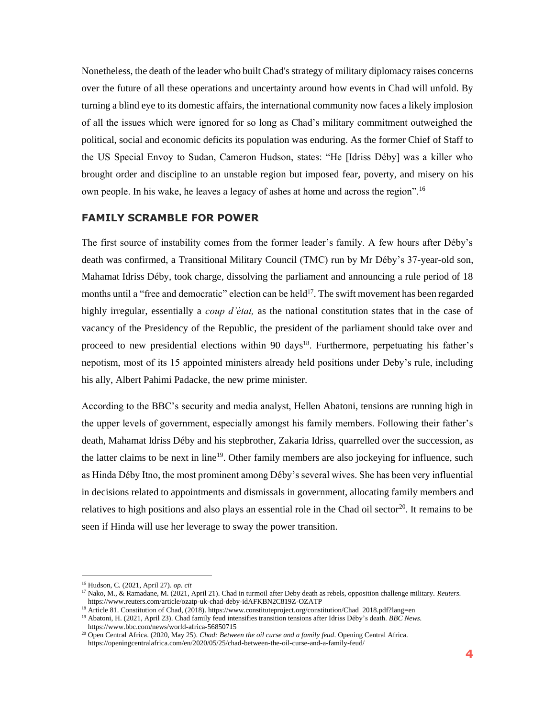Nonetheless, the death of the leader who built Chad's strategy of military diplomacy raises concerns over the future of all these operations and uncertainty around how events in Chad will unfold. By turning a blind eye to its domestic affairs, the international community now faces a likely implosion of all the issues which were ignored for so long as Chad's military commitment outweighed the political, social and economic deficits its population was enduring. As the former Chief of Staff to the US Special Envoy to Sudan, Cameron Hudson, states: "He [Idriss Déby] was a killer who brought order and discipline to an unstable region but imposed fear, poverty, and misery on his own people. In his wake, he leaves a legacy of ashes at home and across the region".<sup>16</sup>

#### <span id="page-5-0"></span>**FAMILY SCRAMBLE FOR POWER**

The first source of instability comes from the former leader's family. A few hours after Déby's death was confirmed, a Transitional Military Council (TMC) run by Mr Déby's 37-year-old son, Mahamat Idriss Déby, took charge, dissolving the parliament and announcing a rule period of 18 months until a "free and democratic" election can be held<sup>17</sup>. The swift movement has been regarded highly irregular, essentially a *coup d'ètat,* as the national constitution states that in the case of vacancy of the Presidency of the Republic, the president of the parliament should take over and proceed to new presidential elections within 90 days<sup>18</sup>. Furthermore, perpetuating his father's nepotism, most of its 15 appointed ministers already held positions under Deby's rule, including his ally, Albert Pahimi Padacke, the new prime minister.

According to the BBC's security and media analyst, Hellen Abatoni, tensions are running high in the upper levels of government, especially amongst his family members. Following their father's death, Mahamat Idriss Déby and his stepbrother, Zakaria Idriss, quarrelled over the succession, as the latter claims to be next in line<sup>19</sup>. Other family members are also jockeying for influence, such as Hinda Déby Itno, the most prominent among Déby's several wives. She has been very influential in decisions related to appointments and dismissals in government, allocating family members and relatives to high positions and also plays an essential role in the Chad oil sector<sup>20</sup>. It remains to be seen if Hinda will use her leverage to sway the power transition.

<sup>18</sup> Article 81. Constitution of Chad, (2018). https://www.constituteproject.org/constitution/Chad\_2018.pdf?lang=en

<sup>16</sup> Hudson, C. (2021, April 27). *op. cit*

<sup>17</sup> Nako, M., & Ramadane, M. (2021, April 21). Chad in turmoil after Deby death as rebels, opposition challenge military. *Reuters*. https://www.reuters.com/article/ozatp-uk-chad-deby-idAFKBN2C819Z-OZATP

<sup>&</sup>lt;sup>19</sup> Abatoni, H. (2021, April 23). Chad family feud intensifies transition tensions after Idriss Déby's death. *BBC News*. https://www.bbc.com/news/world-africa-56850715

<sup>20</sup> Open Central Africa. (2020, May 25). *Chad: Between the oil curse and a family feud*. Opening Central Africa. https://openingcentralafrica.com/en/2020/05/25/chad-between-the-oil-curse-and-a-family-feud/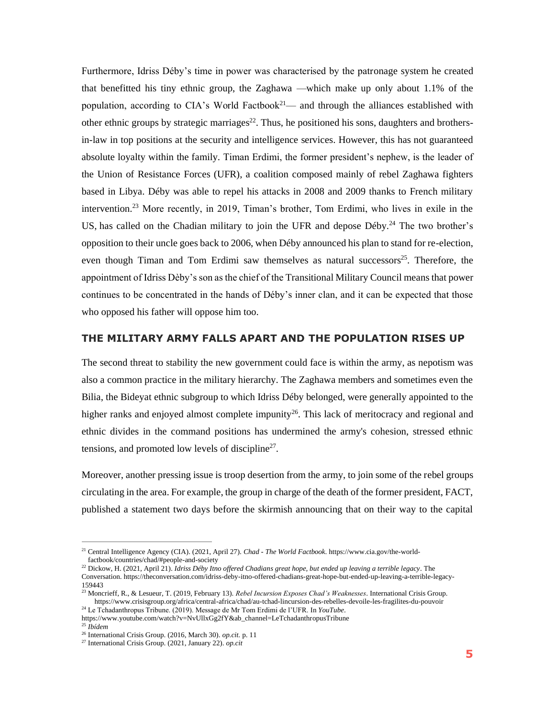Furthermore, Idriss Déby's time in power was characterised by the patronage system he created that benefitted his tiny ethnic group, the Zaghawa —which make up only about 1.1% of the population, according to CIA's World Factbook<sup>21</sup>— and through the alliances established with other ethnic groups by strategic marriages<sup>22</sup>. Thus, he positioned his sons, daughters and brothersin-law in top positions at the security and intelligence services. However, this has not guaranteed absolute loyalty within the family. Timan Erdimi, the former president's nephew, is the leader of the Union of Resistance Forces (UFR), a coalition composed mainly of rebel Zaghawa fighters based in Libya. Déby was able to repel his attacks in 2008 and 2009 thanks to French military intervention.<sup>23</sup> More recently, in 2019, Timan's brother, Tom Erdimi, who lives in exile in the US, has called on the Chadian military to join the UFR and depose  $Déby.<sup>24</sup>$  The two brother's opposition to their uncle goes back to 2006, when Déby announced his plan to stand for re-election, even though Timan and Tom Erdimi saw themselves as natural successors $25$ . Therefore, the appointment of Idriss Dèby's son as the chief of the Transitional Military Council means that power continues to be concentrated in the hands of Déby's inner clan, and it can be expected that those who opposed his father will oppose him too.

#### <span id="page-6-0"></span>**THE MILITARY ARMY FALLS APART AND THE POPULATION RISES UP**

The second threat to stability the new government could face is within the army, as nepotism was also a common practice in the military hierarchy. The Zaghawa members and sometimes even the Bilia, the Bideyat ethnic subgroup to which Idriss Déby belonged, were generally appointed to the higher ranks and enjoyed almost complete impunity<sup>26</sup>. This lack of meritocracy and regional and ethnic divides in the command positions has undermined the army's cohesion, stressed ethnic tensions, and promoted low levels of discipline<sup>27</sup>.

Moreover, another pressing issue is troop desertion from the army, to join some of the rebel groups circulating in the area. For example, the group in charge of the death of the former president, FACT, published a statement two days before the skirmish announcing that on their way to the capital

<sup>21</sup> Central Intelligence Agency (CIA). (2021, April 27). *Chad - The World Factbook*. https://www.cia.gov/the-worldfactbook/countries/chad/#people-and-society

<sup>22</sup> Dickow, H. (2021, April 21). *Idriss Déby Itno offered Chadians great hope, but ended up leaving a terrible legacy*. The Conversation. https://theconversation.com/idriss-deby-itno-offered-chadians-great-hope-but-ended-up-leaving-a-terrible-legacy-159443

<sup>23</sup> Moncrieff, R., & Lesueur, T. (2019, February 13). *Rebel Incursion Exposes Chad's Weaknesses*. International Crisis Group. https://www.crisisgroup.org/africa/central-africa/chad/au-tchad-lincursion-des-rebelles-devoile-les-fragilites-du-pouvoir

<sup>24</sup> Le Tchadanthropus Tribune. (2019). Message de Mr Tom Erdimi de l'UFR. In *YouTube*. https://www.youtube.com/watch?v=NvUllxGg2fY&ab\_channel=LeTchadanthropusTribune <sup>25</sup> *Ibídem*

<sup>26</sup> International Crisis Group. (2016, March 30). *op.cit.* p. 11

<sup>27</sup> International Crisis Group. (2021, January 22). *op.cit*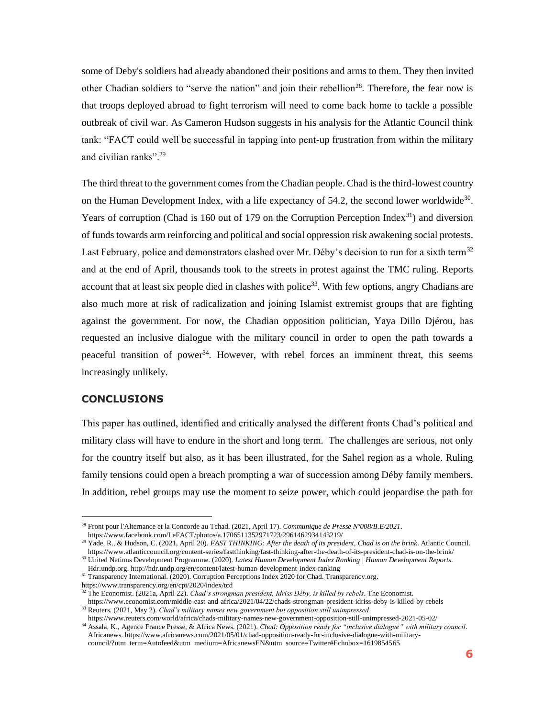some of Deby's soldiers had already abandoned their positions and arms to them. They then invited other Chadian soldiers to "serve the nation" and join their rebellion<sup>28</sup>. Therefore, the fear now is that troops deployed abroad to fight terrorism will need to come back home to tackle a possible outbreak of civil war. As Cameron Hudson suggests in his analysis for the Atlantic Council think tank: "FACT could well be successful in tapping into pent-up frustration from within the military and civilian ranks".<sup>29</sup>

The third threat to the government comes from the Chadian people. Chad is the third-lowest country on the Human Development Index, with a life expectancy of 54.2, the second lower worldwide<sup>30</sup>. Years of corruption (Chad is 160 out of 179 on the Corruption Perception Index<sup>31</sup>) and diversion of funds towards arm reinforcing and political and social oppression risk awakening social protests. Last February, police and demonstrators clashed over Mr. Déby's decision to run for a sixth term<sup>32</sup> and at the end of April, thousands took to the streets in protest against the TMC ruling. Reports account that at least six people died in clashes with police<sup>33</sup>. With few options, angry Chadians are also much more at risk of radicalization and joining Islamist extremist groups that are fighting against the government. For now, the Chadian opposition politician, Yaya Dillo Djérou, has requested an inclusive dialogue with the military council in order to open the path towards a peaceful transition of power<sup>34</sup>. However, with rebel forces an imminent threat, this seems increasingly unlikely.

#### <span id="page-7-0"></span>**CONCLUSIONS**

This paper has outlined, identified and critically analysed the different fronts Chad's political and military class will have to endure in the short and long term. The challenges are serious, not only for the country itself but also, as it has been illustrated, for the Sahel region as a whole. Ruling family tensions could open a breach prompting a war of succession among Déby family members. In addition, rebel groups may use the moment to seize power, which could jeopardise the path for

<sup>31</sup> Transparency International. (2020). Corruption Perceptions Index 2020 for Chad. Transparency.org.

https://www.transparency.org/en/cpi/2020/index/tcd

<sup>32</sup> The Economist. (2021a, April 22). *Chad's strongman president, Idriss Déby, is killed by rebels*. The Economist.

https://www.economist.com/middle-east-and-africa/2021/04/22/chads-strongman-president-idriss-deby-is-killed-by-rebels <sup>33</sup> Reuters. (2021, May 2). *Chad's military names new government but opposition still unimpressed*.

https://www.reuters.com/world/africa/chads-military-names-new-government-opposition-still-unimpressed-2021-05-02/ <sup>34</sup> Assala, K., Agence France Presse, & Africa News. (2021). *Chad: Opposition ready for "inclusive dialogue" with military council*.

Africanews. https://www.africanews.com/2021/05/01/chad-opposition-ready-for-inclusive-dialogue-with-militarycouncil/?utm\_term=Autofeed&utm\_medium=AfricanewsEN&utm\_source=Twitter#Echobox=1619854565

<sup>28</sup> Front pour l'Alternance et la Concorde au Tchad. (2021, April 17). *Communique de Presse N<sup>o</sup>008/B.E/2021*. https://www.facebook.com/LeFACT/photos/a.1706511352971723/2961462934143219/

<sup>29</sup> Yade, R., & Hudson, C. (2021, April 20). *FAST THINKING: After the death of its president, Chad is on the brink*. Atlantic Council. https://www.atlanticcouncil.org/content-series/fastthinking/fast-thinking-after-the-death-of-its-president-chad-is-on-the-brink/

<sup>30</sup> United Nations Development Programme. (2020). *Latest Human Development Index Ranking | Human Development Reports*. Hdr.undp.org. http://hdr.undp.org/en/content/latest-human-development-index-ranking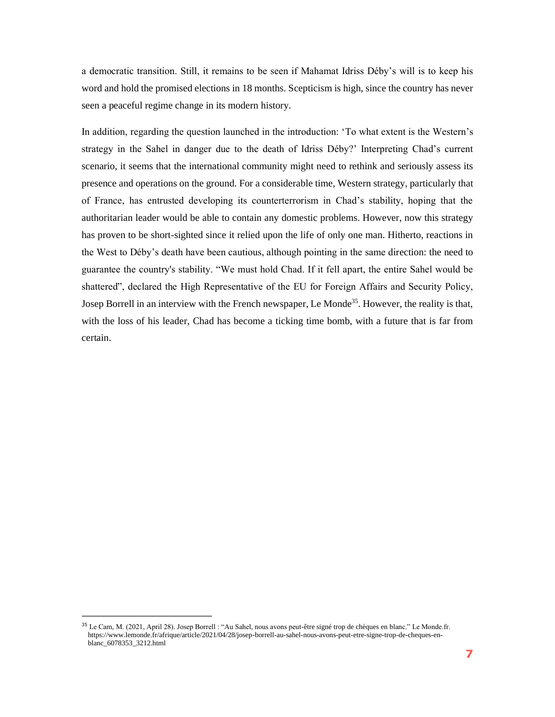a democratic transition. Still, it remains to be seen if Mahamat Idriss Déby's will is to keep his word and hold the promised elections in 18 months. Scepticism is high, since the country has never seen a peaceful regime change in its modern history.

In addition, regarding the question launched in the introduction: 'To what extent is the Western's strategy in the Sahel in danger due to the death of Idriss Déby?' Interpreting Chad's current scenario, it seems that the international community might need to rethink and seriously assess its presence and operations on the ground. For a considerable time, Western strategy, particularly that of France, has entrusted developing its counterterrorism in Chad's stability, hoping that the authoritarian leader would be able to contain any domestic problems. However, now this strategy has proven to be short-sighted since it relied upon the life of only one man. Hitherto, reactions in the West to Déby's death have been cautious, although pointing in the same direction: the need to guarantee the country's stability. "We must hold Chad. If it fell apart, the entire Sahel would be shattered", declared the High Representative of the EU for Foreign Affairs and Security Policy, Josep Borrell in an interview with the French newspaper, Le Monde<sup>35</sup>. However, the reality is that, with the loss of his leader, Chad has become a ticking time bomb, with a future that is far from certain.

<sup>&</sup>lt;sup>35</sup> Le Cam, M. (2021, April 28). Josep Borrell : "Au Sahel, nous avons peut-être signé trop de chèques en blanc." Le Monde.fr. https://www.lemonde.fr/afrique/article/2021/04/28/josep-borrell-au-sahel-nous-avons-peut-etre-signe-trop-de-cheques-enblanc\_6078353\_3212.html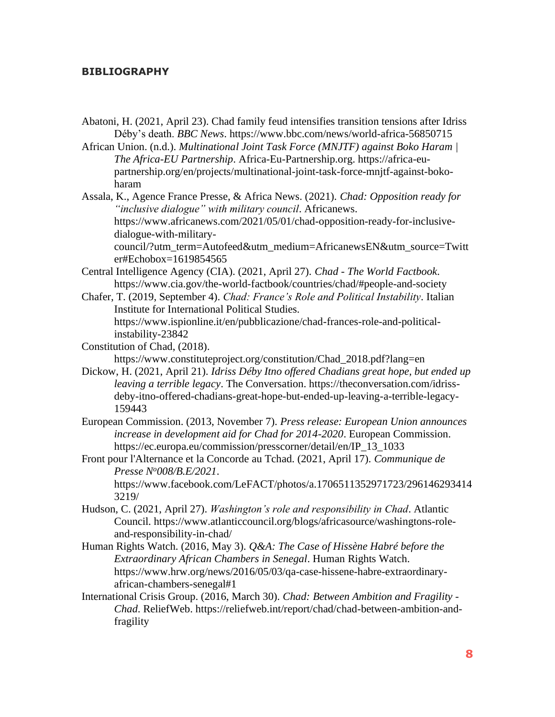#### <span id="page-9-0"></span>**BIBLIOGRAPHY**

Abatoni, H. (2021, April 23). Chad family feud intensifies transition tensions after Idriss Déby's death. *BBC News*. https://www.bbc.com/news/world-africa-56850715

African Union. (n.d.). *Multinational Joint Task Force (MNJTF) against Boko Haram | The Africa-EU Partnership*. Africa-Eu-Partnership.org. https://africa-eupartnership.org/en/projects/multinational-joint-task-force-mnjtf-against-bokoharam

Assala, K., Agence France Presse, & Africa News. (2021). *Chad: Opposition ready for "inclusive dialogue" with military council*. Africanews. https://www.africanews.com/2021/05/01/chad-opposition-ready-for-inclusivedialogue-with-military-

council/?utm\_term=Autofeed&utm\_medium=AfricanewsEN&utm\_source=Twitt er#Echobox=1619854565

- Central Intelligence Agency (CIA). (2021, April 27). *Chad - The World Factbook*. https://www.cia.gov/the-world-factbook/countries/chad/#people-and-society
- Chafer, T. (2019, September 4). *Chad: France's Role and Political Instability*. Italian Institute for International Political Studies. https://www.ispionline.it/en/pubblicazione/chad-frances-role-and-politicalinstability-23842
- Constitution of Chad, (2018).

https://www.constituteproject.org/constitution/Chad\_2018.pdf?lang=en

Dickow, H. (2021, April 21). *Idriss Déby Itno offered Chadians great hope, but ended up leaving a terrible legacy*. The Conversation. https://theconversation.com/idrissdeby-itno-offered-chadians-great-hope-but-ended-up-leaving-a-terrible-legacy-159443

European Commission. (2013, November 7). *Press release: European Union announces increase in development aid for Chad for 2014-2020*. European Commission. https://ec.europa.eu/commission/presscorner/detail/en/IP\_13\_1033

Front pour l'Alternance et la Concorde au Tchad. (2021, April 17). *Communique de Presse N<sup>o</sup>008/B.E/2021*. https://www.facebook.com/LeFACT/photos/a.1706511352971723/296146293414

3219/

- Hudson, C. (2021, April 27). *Washington's role and responsibility in Chad*. Atlantic Council. https://www.atlanticcouncil.org/blogs/africasource/washingtons-roleand-responsibility-in-chad/
- Human Rights Watch. (2016, May 3). *Q&A: The Case of Hissène Habré before the Extraordinary African Chambers in Senegal*. Human Rights Watch. https://www.hrw.org/news/2016/05/03/qa-case-hissene-habre-extraordinaryafrican-chambers-senegal#1
- International Crisis Group. (2016, March 30). *Chad: Between Ambition and Fragility - Chad*. ReliefWeb. https://reliefweb.int/report/chad/chad-between-ambition-andfragility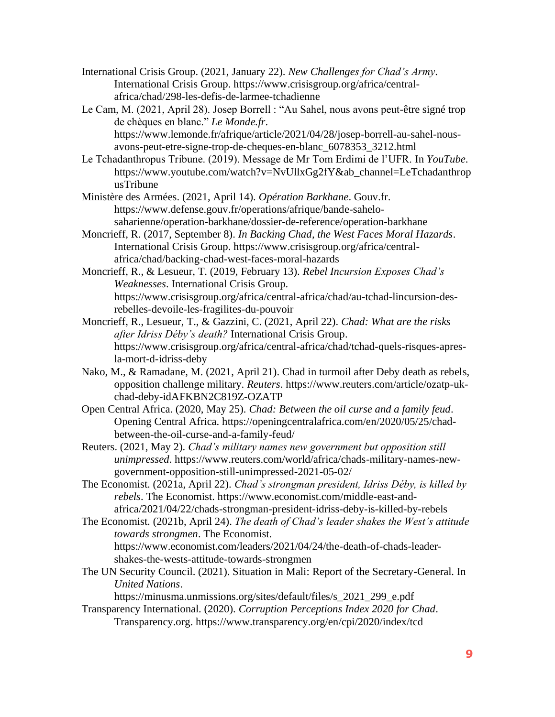International Crisis Group. (2021, January 22). *New Challenges for Chad's Army*. International Crisis Group. https://www.crisisgroup.org/africa/centralafrica/chad/298-les-defis-de-larmee-tchadienne

Le Cam, M. (2021, April 28). Josep Borrell : "Au Sahel, nous avons peut-être signé trop de chèques en blanc." *Le Monde.fr*. https://www.lemonde.fr/afrique/article/2021/04/28/josep-borrell-au-sahel-nousavons-peut-etre-signe-trop-de-cheques-en-blanc\_6078353\_3212.html

Le Tchadanthropus Tribune. (2019). Message de Mr Tom Erdimi de l'UFR. In *YouTube*. https://www.youtube.com/watch?v=NvUllxGg2fY&ab\_channel=LeTchadanthrop usTribune

Ministère des Armées. (2021, April 14). *Opération Barkhane*. Gouv.fr. https://www.defense.gouv.fr/operations/afrique/bande-sahelosaharienne/operation-barkhane/dossier-de-reference/operation-barkhane

Moncrieff, R. (2017, September 8). *In Backing Chad, the West Faces Moral Hazards*. International Crisis Group. https://www.crisisgroup.org/africa/centralafrica/chad/backing-chad-west-faces-moral-hazards

Moncrieff, R., & Lesueur, T. (2019, February 13). *Rebel Incursion Exposes Chad's Weaknesses*. International Crisis Group. https://www.crisisgroup.org/africa/central-africa/chad/au-tchad-lincursion-desrebelles-devoile-les-fragilites-du-pouvoir

Moncrieff, R., Lesueur, T., & Gazzini, C. (2021, April 22). *Chad: What are the risks after Idriss Déby's death?* International Crisis Group. https://www.crisisgroup.org/africa/central-africa/chad/tchad-quels-risques-apresla-mort-d-idriss-deby

Nako, M., & Ramadane, M. (2021, April 21). Chad in turmoil after Deby death as rebels, opposition challenge military. *Reuters*. https://www.reuters.com/article/ozatp-ukchad-deby-idAFKBN2C819Z-OZATP

Open Central Africa. (2020, May 25). *Chad: Between the oil curse and a family feud*. Opening Central Africa. https://openingcentralafrica.com/en/2020/05/25/chadbetween-the-oil-curse-and-a-family-feud/

Reuters. (2021, May 2). *Chad's military names new government but opposition still unimpressed*. https://www.reuters.com/world/africa/chads-military-names-newgovernment-opposition-still-unimpressed-2021-05-02/

The Economist. (2021a, April 22). *Chad's strongman president, Idriss Déby, is killed by rebels*. The Economist. https://www.economist.com/middle-east-andafrica/2021/04/22/chads-strongman-president-idriss-deby-is-killed-by-rebels

The Economist. (2021b, April 24). *The death of Chad's leader shakes the West's attitude towards strongmen*. The Economist. https://www.economist.com/leaders/2021/04/24/the-death-of-chads-leadershakes-the-wests-attitude-towards-strongmen

The UN Security Council. (2021). Situation in Mali: Report of the Secretary-General. In *United Nations*.

https://minusma.unmissions.org/sites/default/files/s\_2021\_299\_e.pdf

Transparency International. (2020). *Corruption Perceptions Index 2020 for Chad*. Transparency.org. https://www.transparency.org/en/cpi/2020/index/tcd